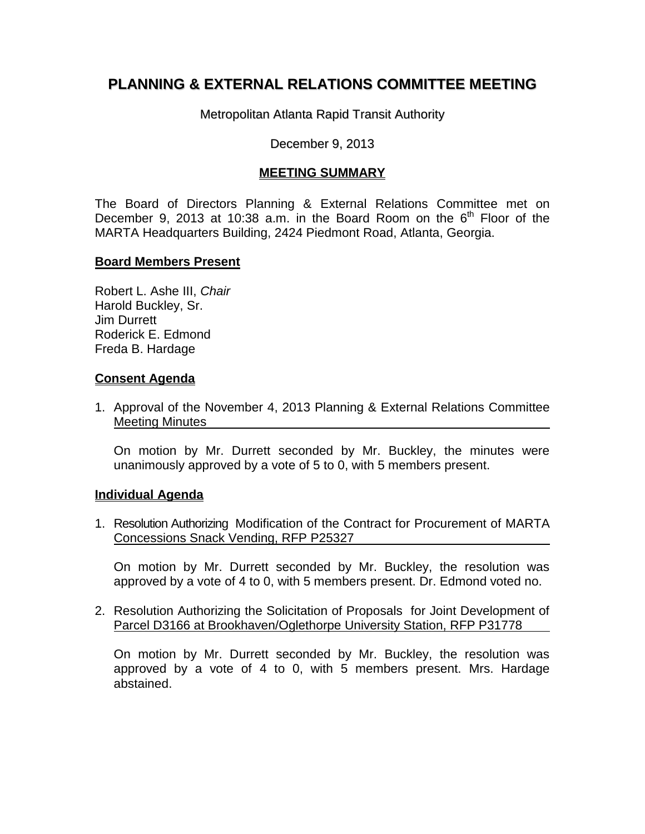# **PLANNING & EXTERNAL RELATIONS COMMITTEE MEETING**

Metropolitan Atlanta Rapid Transit Authority

#### December 9, 2013

## **MEETING SUMMARY**

The Board of Directors Planning & External Relations Committee met on December 9, 2013 at 10:38 a.m. in the Board Room on the  $6<sup>th</sup>$  Floor of the MARTA Headquarters Building, 2424 Piedmont Road, Atlanta, Georgia.

#### **Board Members Present**

Robert L. Ashe III, *Chair* Harold Buckley, Sr. Jim Durrett Roderick E. Edmond Freda B. Hardage

### **Consent Agenda**

1. Approval of the November 4, 2013 Planning & External Relations Committee Meeting Minutes

On motion by Mr. Durrett seconded by Mr. Buckley, the minutes were unanimously approved by a vote of 5 to 0, with 5 members present.

#### **Individual Agenda**

1. Resolution Authorizing Modification of the Contract for Procurement of MARTA Concessions Snack Vending, RFP P25327

On motion by Mr. Durrett seconded by Mr. Buckley, the resolution was approved by a vote of 4 to 0, with 5 members present. Dr. Edmond voted no.

2. Resolution Authorizing the Solicitation of Proposals for Joint Development of Parcel D3166 at Brookhaven/Oglethorpe University Station, RFP P31778

On motion by Mr. Durrett seconded by Mr. Buckley, the resolution was approved by a vote of 4 to 0, with 5 members present. Mrs. Hardage abstained.